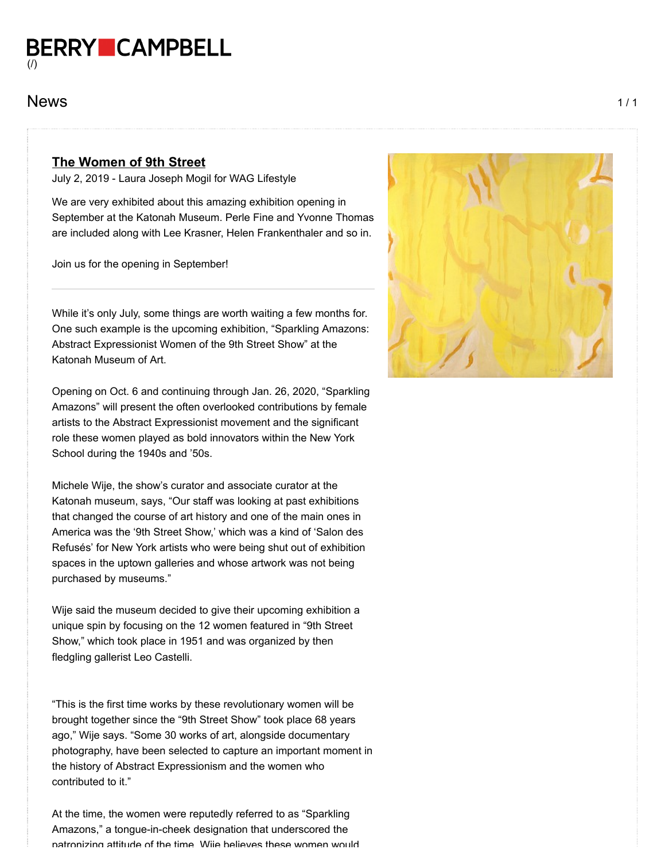**BERRY CAMPBELL** [\(/\)](https://www.berrycampbell.com/)

## $News$   $1/1$

## **The Women of 9th Street**

July 2, 2019 - Laura Joseph Mogil for WAG Lifestyle

We are very exhibited about this amazing exhibition opening in September at the Katonah Museum. Perle Fine and Yvonne Thomas are included along with Lee Krasner, Helen Frankenthaler and so in.

Join us for the opening in September!

While it's only July, some things are worth waiting a few months for. One such example is the upcoming exhibition, "Sparkling Amazons: Abstract Expressionist Women of the 9th Street Show" at the Katonah Museum of Art.

Opening on Oct. 6 and continuing through Jan. 26, 2020, "Sparkling Amazons" will present the often overlooked contributions by female artists to the Abstract Expressionist movement and the significant role these women played as bold innovators within the New York School during the 1940s and '50s.

Michele Wije, the show's curator and associate curator at the Katonah museum, says, "Our staff was looking at past exhibitions that changed the course of art history and one of the main ones in America was the '9th Street Show,' which was a kind of 'Salon des Refusés' for New York artists who were being shut out of exhibition spaces in the uptown galleries and whose artwork was not being purchased by museums."

Wije said the museum decided to give their upcoming exhibition a unique spin by focusing on the 12 women featured in "9th Street Show," which took place in 1951 and was organized by then fledgling gallerist Leo Castelli.

"This is the first time works by these revolutionary women will be brought together since the "9th Street Show" took place 68 years ago," Wije says. "Some 30 works of art, alongside documentary photography, have been selected to capture an important moment in the history of Abstract Expressionism and the women who contributed to it."

At the time, the women were reputedly referred to as "Sparkling Amazons," a tongue-in-cheek designation that underscored the patronizing attitude of the time Wije believes these women would

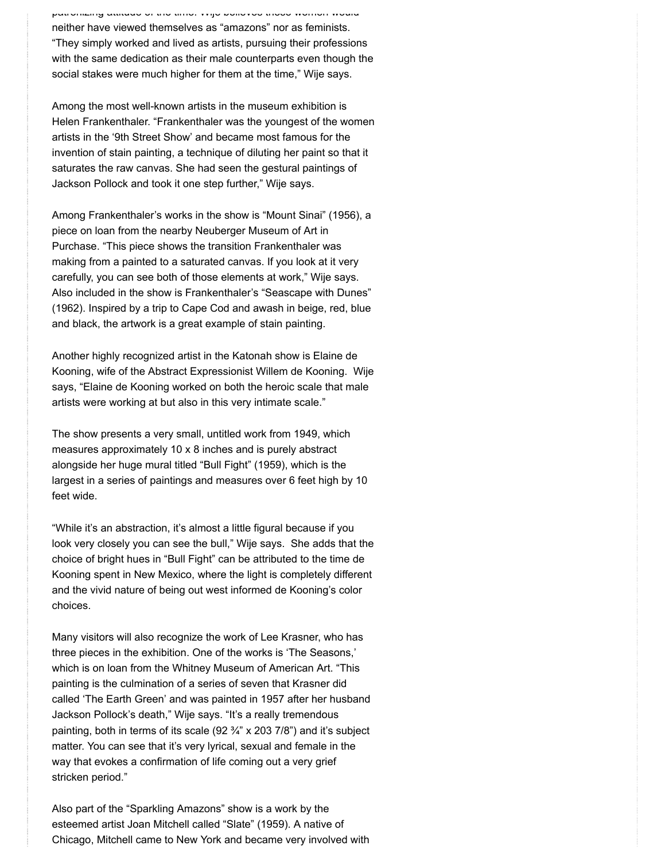patronizing attitude of the time. Wije believes these women would neither have viewed themselves as "amazons" nor as feminists. "They simply worked and lived as artists, pursuing their professions with the same dedication as their male counterparts even though the social stakes were much higher for them at the time," Wije says.

Among the most well-known artists in the museum exhibition is Helen Frankenthaler. "Frankenthaler was the youngest of the women artists in the '9th Street Show' and became most famous for the invention of stain painting, a technique of diluting her paint so that it saturates the raw canvas. She had seen the gestural paintings of Jackson Pollock and took it one step further," Wije says.

Among Frankenthaler's works in the show is "Mount Sinai" (1956), a piece on loan from the nearby Neuberger Museum of Art in Purchase. "This piece shows the transition Frankenthaler was making from a painted to a saturated canvas. If you look at it very carefully, you can see both of those elements at work," Wije says. Also included in the show is Frankenthaler's "Seascape with Dunes" (1962). Inspired by a trip to Cape Cod and awash in beige, red, blue and black, the artwork is a great example of stain painting.

Another highly recognized artist in the Katonah show is Elaine de Kooning, wife of the Abstract Expressionist Willem de Kooning. Wije says, "Elaine de Kooning worked on both the heroic scale that male artists were working at but also in this very intimate scale."

The show presents a very small, untitled work from 1949, which measures approximately 10 x 8 inches and is purely abstract alongside her huge mural titled "Bull Fight" (1959), which is the largest in a series of paintings and measures over 6 feet high by 10 feet wide.

"While it's an abstraction, it's almost a little figural because if you look very closely you can see the bull," Wije says. She adds that the choice of bright hues in "Bull Fight" can be attributed to the time de Kooning spent in New Mexico, where the light is completely different and the vivid nature of being out west informed de Kooning's color choices.

Many visitors will also recognize the work of Lee Krasner, who has three pieces in the exhibition. One of the works is 'The Seasons,' which is on loan from the Whitney Museum of American Art. "This painting is the culmination of a series of seven that Krasner did called 'The Earth Green' and was painted in 1957 after her husband Jackson Pollock's death," Wije says. "It's a really tremendous painting, both in terms of its scale (92 ¾" x 203 7/8") and it's subject matter. You can see that it's very lyrical, sexual and female in the way that evokes a confirmation of life coming out a very grief stricken period."

Also part of the "Sparkling Amazons" show is a work by the esteemed artist Joan Mitchell called "Slate" (1959). A native of Chicago, Mitchell came to New York and became very involved with